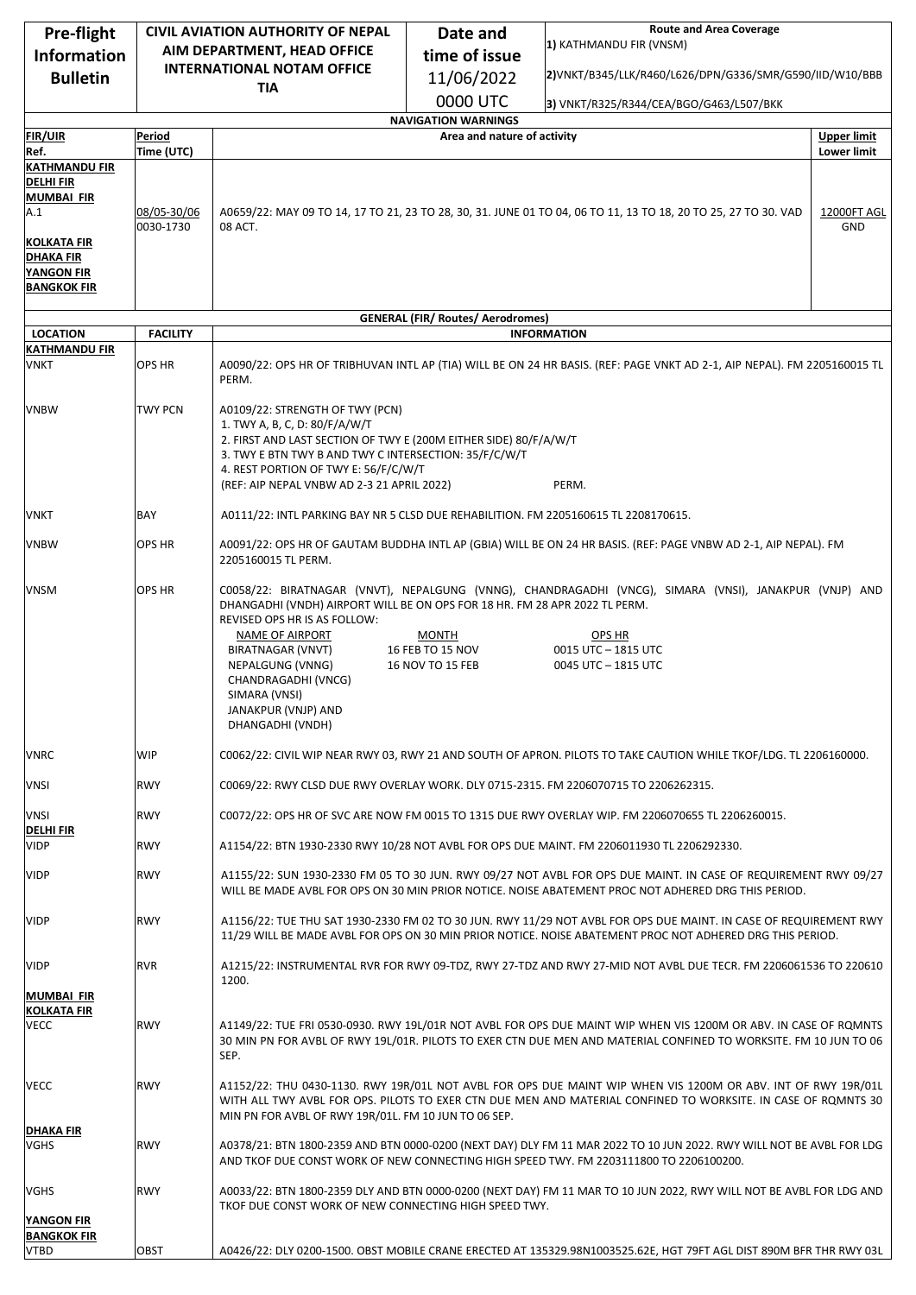| Pre-flight                              | <b>CIVIL AVIATION AUTHORITY OF NEPAL</b> |                                                                                                                                                                                                                                                                                        | <b>Route and Area Coverage</b><br>Date and                                                                                                                                                                                     |                                                                                                                                                                                                                                      |                           |
|-----------------------------------------|------------------------------------------|----------------------------------------------------------------------------------------------------------------------------------------------------------------------------------------------------------------------------------------------------------------------------------------|--------------------------------------------------------------------------------------------------------------------------------------------------------------------------------------------------------------------------------|--------------------------------------------------------------------------------------------------------------------------------------------------------------------------------------------------------------------------------------|---------------------------|
| <b>Information</b>                      |                                          | AIM DEPARTMENT, HEAD OFFICE                                                                                                                                                                                                                                                            | time of issue                                                                                                                                                                                                                  | 1) KATHMANDU FIR (VNSM)                                                                                                                                                                                                              |                           |
| <b>Bulletin</b>                         |                                          | <b>INTERNATIONAL NOTAM OFFICE</b>                                                                                                                                                                                                                                                      | 11/06/2022                                                                                                                                                                                                                     | 2)VNKT/B345/LLK/R460/L626/DPN/G336/SMR/G590/IID/W10/BBB                                                                                                                                                                              |                           |
|                                         |                                          | <b>TIA</b>                                                                                                                                                                                                                                                                             | 0000 UTC                                                                                                                                                                                                                       | 3) VNKT/R325/R344/CEA/BGO/G463/L507/BKK                                                                                                                                                                                              |                           |
|                                         |                                          |                                                                                                                                                                                                                                                                                        | <b>NAVIGATION WARNINGS</b>                                                                                                                                                                                                     |                                                                                                                                                                                                                                      |                           |
| <b>FIR/UIR</b>                          | Period                                   |                                                                                                                                                                                                                                                                                        | Area and nature of activity                                                                                                                                                                                                    |                                                                                                                                                                                                                                      | <b>Upper limit</b>        |
| Ref.<br><b>KATHMANDU FIR</b>            | Time (UTC)                               |                                                                                                                                                                                                                                                                                        |                                                                                                                                                                                                                                |                                                                                                                                                                                                                                      | Lower limit               |
| <b>DELHIFIR</b>                         |                                          |                                                                                                                                                                                                                                                                                        |                                                                                                                                                                                                                                |                                                                                                                                                                                                                                      |                           |
| <b>MUMBAI FIR</b>                       |                                          |                                                                                                                                                                                                                                                                                        |                                                                                                                                                                                                                                |                                                                                                                                                                                                                                      |                           |
| A.1                                     | 08/05-30/06<br>0030-1730                 | 08 ACT.                                                                                                                                                                                                                                                                                |                                                                                                                                                                                                                                | A0659/22: MAY 09 TO 14, 17 TO 21, 23 TO 28, 30, 31. JUNE 01 TO 04, 06 TO 11, 13 TO 18, 20 TO 25, 27 TO 30. VAD                                                                                                                       | 12000FT AGL<br><b>GND</b> |
| KOLKATA FIR<br><b>DHAKA FIR</b>         |                                          |                                                                                                                                                                                                                                                                                        |                                                                                                                                                                                                                                |                                                                                                                                                                                                                                      |                           |
| <b>YANGON FIR</b>                       |                                          |                                                                                                                                                                                                                                                                                        |                                                                                                                                                                                                                                |                                                                                                                                                                                                                                      |                           |
| <b>BANGKOK FIR</b>                      |                                          |                                                                                                                                                                                                                                                                                        |                                                                                                                                                                                                                                |                                                                                                                                                                                                                                      |                           |
|                                         |                                          |                                                                                                                                                                                                                                                                                        | <b>GENERAL (FIR/ Routes/ Aerodromes)</b>                                                                                                                                                                                       |                                                                                                                                                                                                                                      |                           |
| <b>LOCATION</b>                         | <b>FACILITY</b>                          |                                                                                                                                                                                                                                                                                        |                                                                                                                                                                                                                                | <b>INFORMATION</b>                                                                                                                                                                                                                   |                           |
| <b>KATHMANDU FIR</b><br>VNKT            | <b>OPS HR</b>                            |                                                                                                                                                                                                                                                                                        |                                                                                                                                                                                                                                | A0090/22: OPS HR OF TRIBHUVAN INTL AP (TIA) WILL BE ON 24 HR BASIS. (REF: PAGE VNKT AD 2-1, AIP NEPAL). FM 2205160015 TL                                                                                                             |                           |
|                                         |                                          | PERM.                                                                                                                                                                                                                                                                                  |                                                                                                                                                                                                                                |                                                                                                                                                                                                                                      |                           |
|                                         |                                          |                                                                                                                                                                                                                                                                                        |                                                                                                                                                                                                                                |                                                                                                                                                                                                                                      |                           |
| <b>VNBW</b>                             | TWY PCN                                  | A0109/22: STRENGTH OF TWY (PCN)<br>1. TWY A, B, C, D: 80/F/A/W/T                                                                                                                                                                                                                       |                                                                                                                                                                                                                                |                                                                                                                                                                                                                                      |                           |
|                                         |                                          | 2. FIRST AND LAST SECTION OF TWY E (200M EITHER SIDE) 80/F/A/W/T                                                                                                                                                                                                                       |                                                                                                                                                                                                                                |                                                                                                                                                                                                                                      |                           |
|                                         |                                          | 3. TWY E BTN TWY B AND TWY C INTERSECTION: 35/F/C/W/T                                                                                                                                                                                                                                  |                                                                                                                                                                                                                                |                                                                                                                                                                                                                                      |                           |
|                                         |                                          | 4. REST PORTION OF TWY E: 56/F/C/W/T<br>(REF: AIP NEPAL VNBW AD 2-3 21 APRIL 2022)                                                                                                                                                                                                     |                                                                                                                                                                                                                                | PERM.                                                                                                                                                                                                                                |                           |
|                                         |                                          |                                                                                                                                                                                                                                                                                        |                                                                                                                                                                                                                                |                                                                                                                                                                                                                                      |                           |
| <b>VNKT</b>                             | BAY                                      | A0111/22: INTL PARKING BAY NR 5 CLSD DUE REHABILITION. FM 2205160615 TL 2208170615.                                                                                                                                                                                                    |                                                                                                                                                                                                                                |                                                                                                                                                                                                                                      |                           |
| <b>VNBW</b>                             | OPS HR                                   | A0091/22: OPS HR OF GAUTAM BUDDHA INTL AP (GBIA) WILL BE ON 24 HR BASIS. (REF: PAGE VNBW AD 2-1, AIP NEPAL). FM<br>2205160015 TL PERM.                                                                                                                                                 |                                                                                                                                                                                                                                |                                                                                                                                                                                                                                      |                           |
| <b>VNSM</b>                             | OPS HR                                   | DHANGADHI (VNDH) AIRPORT WILL BE ON OPS FOR 18 HR. FM 28 APR 2022 TL PERM.<br>REVISED OPS HR IS AS FOLLOW:<br>NAME OF AIRPORT<br>BIRATNAGAR (VNVT)<br>NEPALGUNG (VNNG)                                                                                                                 | <b>MONTH</b><br>16 FEB TO 15 NOV<br><b>16 NOV TO 15 FEB</b>                                                                                                                                                                    | C0058/22: BIRATNAGAR (VNVT), NEPALGUNG (VNNG), CHANDRAGADHI (VNCG), SIMARA (VNSI), JANAKPUR (VNJP) AND<br>OPS HR<br>0015 UTC - 1815 UTC<br>0045 UTC - 1815 UTC                                                                       |                           |
|                                         |                                          | CHANDRAGADHI (VNCG)<br>SIMARA (VNSI)<br>JANAKPUR (VNJP) AND<br>DHANGADHI (VNDH)                                                                                                                                                                                                        |                                                                                                                                                                                                                                |                                                                                                                                                                                                                                      |                           |
| <b>VNRC</b>                             | <b>WIP</b>                               | C0062/22: CIVIL WIP NEAR RWY 03, RWY 21 AND SOUTH OF APRON. PILOTS TO TAKE CAUTION WHILE TKOF/LDG. TL 2206160000.                                                                                                                                                                      |                                                                                                                                                                                                                                |                                                                                                                                                                                                                                      |                           |
| <b>VNSI</b>                             | <b>RWY</b>                               | C0069/22: RWY CLSD DUE RWY OVERLAY WORK. DLY 0715-2315. FM 2206070715 TO 2206262315.                                                                                                                                                                                                   |                                                                                                                                                                                                                                |                                                                                                                                                                                                                                      |                           |
| <b>VNSI</b>                             | <b>RWY</b>                               |                                                                                                                                                                                                                                                                                        |                                                                                                                                                                                                                                | C0072/22: OPS HR OF SVC ARE NOW FM 0015 TO 1315 DUE RWY OVERLAY WIP. FM 2206070655 TL 2206260015.                                                                                                                                    |                           |
| <b>DELHIFIR</b><br><b>VIDP</b>          | <b>RWY</b>                               |                                                                                                                                                                                                                                                                                        |                                                                                                                                                                                                                                | A1154/22: BTN 1930-2330 RWY 10/28 NOT AVBL FOR OPS DUE MAINT. FM 2206011930 TL 2206292330.                                                                                                                                           |                           |
| <b>VIDP</b>                             | <b>RWY</b>                               | A1155/22: SUN 1930-2330 FM 05 TO 30 JUN. RWY 09/27 NOT AVBL FOR OPS DUE MAINT. IN CASE OF REQUIREMENT RWY 09/27<br>WILL BE MADE AVBL FOR OPS ON 30 MIN PRIOR NOTICE. NOISE ABATEMENT PROC NOT ADHERED DRG THIS PERIOD.                                                                 |                                                                                                                                                                                                                                |                                                                                                                                                                                                                                      |                           |
| <b>VIDP</b>                             | <b>RWY</b>                               |                                                                                                                                                                                                                                                                                        | A1156/22: TUE THU SAT 1930-2330 FM 02 TO 30 JUN. RWY 11/29 NOT AVBL FOR OPS DUE MAINT. IN CASE OF REQUIREMENT RWY<br>11/29 WILL BE MADE AVBL FOR OPS ON 30 MIN PRIOR NOTICE. NOISE ABATEMENT PROC NOT ADHERED DRG THIS PERIOD. |                                                                                                                                                                                                                                      |                           |
| <b>VIDP</b>                             | <b>RVR</b>                               | 1200.                                                                                                                                                                                                                                                                                  |                                                                                                                                                                                                                                | A1215/22: INSTRUMENTAL RVR FOR RWY 09-TDZ, RWY 27-TDZ AND RWY 27-MID NOT AVBL DUE TECR. FM 2206061536 TO 220610                                                                                                                      |                           |
| <b>MUMBAI FIR</b><br><b>KOLKATA FIR</b> |                                          |                                                                                                                                                                                                                                                                                        |                                                                                                                                                                                                                                |                                                                                                                                                                                                                                      |                           |
| <b>VECC</b>                             | <b>RWY</b>                               | SEP.                                                                                                                                                                                                                                                                                   |                                                                                                                                                                                                                                | A1149/22: TUE FRI 0530-0930. RWY 19L/01R NOT AVBL FOR OPS DUE MAINT WIP WHEN VIS 1200M OR ABV. IN CASE OF ROMNTS<br>30 MIN PN FOR AVBL OF RWY 19L/01R. PILOTS TO EXER CTN DUE MEN AND MATERIAL CONFINED TO WORKSITE. FM 10 JUN TO 06 |                           |
| <b>VECC</b>                             | <b>RWY</b>                               | A1152/22: THU 0430-1130. RWY 19R/01L NOT AVBL FOR OPS DUE MAINT WIP WHEN VIS 1200M OR ABV. INT OF RWY 19R/01L<br>WITH ALL TWY AVBL FOR OPS. PILOTS TO EXER CTN DUE MEN AND MATERIAL CONFINED TO WORKSITE. IN CASE OF ROMNTS 30<br>MIN PN FOR AVBL OF RWY 19R/01L. FM 10 JUN TO 06 SEP. |                                                                                                                                                                                                                                |                                                                                                                                                                                                                                      |                           |
| <b>DHAKA FIR</b><br><b>VGHS</b>         | <b>RWY</b>                               |                                                                                                                                                                                                                                                                                        |                                                                                                                                                                                                                                | A0378/21: BTN 1800-2359 AND BTN 0000-0200 (NEXT DAY) DLY FM 11 MAR 2022 TO 10 JUN 2022. RWY WILL NOT BE AVBL FOR LDG<br>AND TKOF DUE CONST WORK OF NEW CONNECTING HIGH SPEED TWY. FM 2203111800 TO 2206100200.                       |                           |
| VGHS                                    | <b>RWY</b>                               | A0033/22: BTN 1800-2359 DLY AND BTN 0000-0200 (NEXT DAY) FM 11 MAR TO 10 JUN 2022, RWY WILL NOT BE AVBL FOR LDG AND<br>TKOF DUE CONST WORK OF NEW CONNECTING HIGH SPEED TWY.                                                                                                           |                                                                                                                                                                                                                                |                                                                                                                                                                                                                                      |                           |
| <b>YANGON FIR</b><br><b>BANGKOK FIR</b> |                                          |                                                                                                                                                                                                                                                                                        |                                                                                                                                                                                                                                |                                                                                                                                                                                                                                      |                           |
| <b>VTBD</b>                             | OBST                                     |                                                                                                                                                                                                                                                                                        |                                                                                                                                                                                                                                | A0426/22: DLY 0200-1500. OBST MOBILE CRANE ERECTED AT 135329.98N1003525.62E, HGT 79FT AGL DIST 890M BFR THR RWY 03L                                                                                                                  |                           |